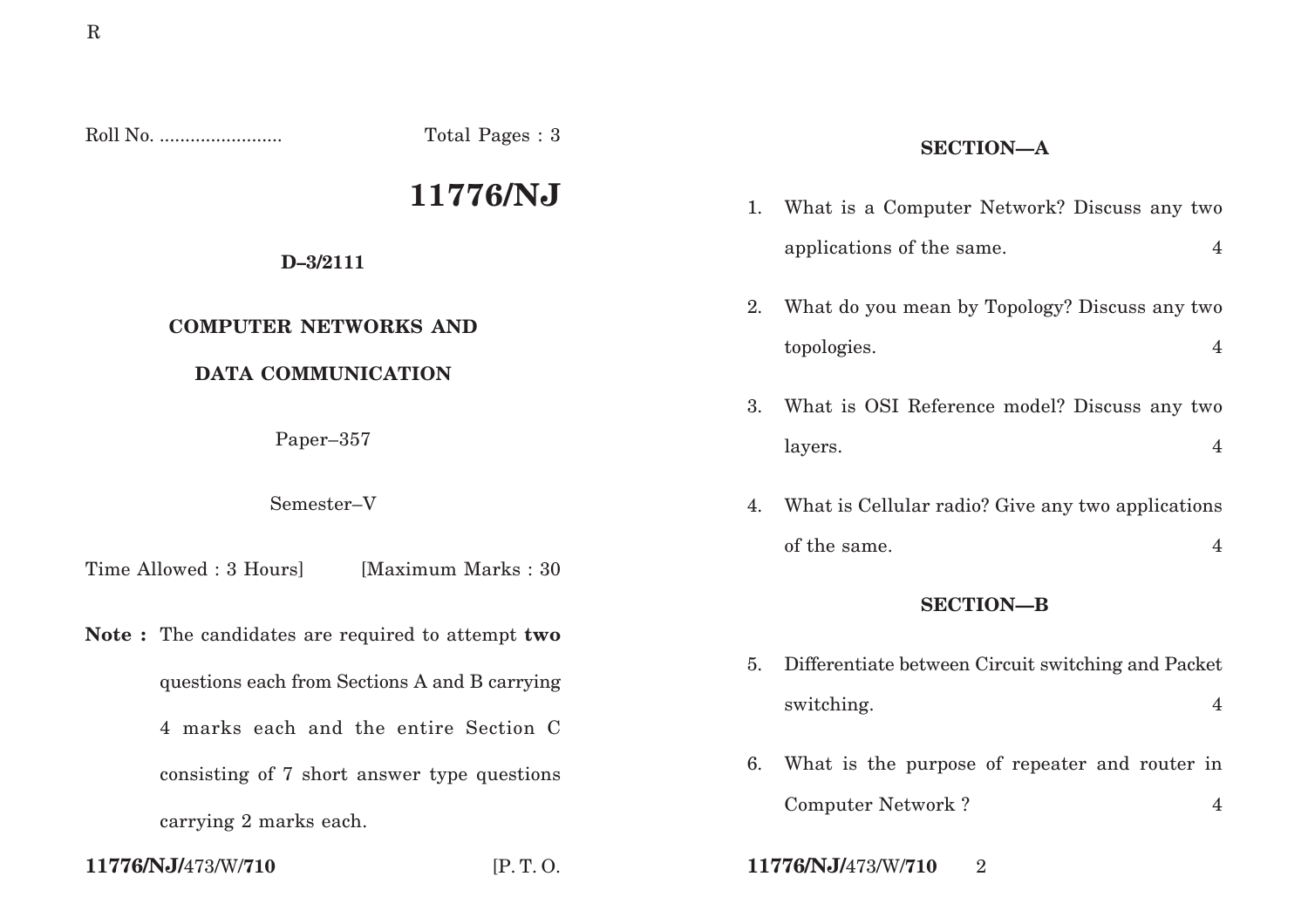Roll No. ........................ Total Pages : 3

# **11776/NJ**

### **D–3/2111**

# **COMPUTER NETWORKS AND**

# **DATA COMMUNICATION**

Paper–357

Semester–V

Time Allowed : 3 Hours [Maximum Marks : 30]

**Note :** The candidates are required to attempt **two** questions each from Sections A and B carrying 4 marks each and the entire Section C consisting of 7 short answer type questions carrying 2 marks each.

# **SECTION—A**

- 1. What is a Computer Network? Discuss any two applications of the same. 4
- 2. What do you mean by Topology? Discuss any two topologies. 4
- 3. What is OSI Reference model? Discuss any two layers. 4
- 4. What is Cellular radio? Give any two applications of the same. 4

### **SECTION—B**

- 5. Differentiate between Circuit switching and Packet switching. 4
- 6. What is the purpose of repeater and router in Computer Network ? 4
- **11776/NJ/**473/W/**710** [P. T. O. **11776/NJ/**473/W/**710** 2